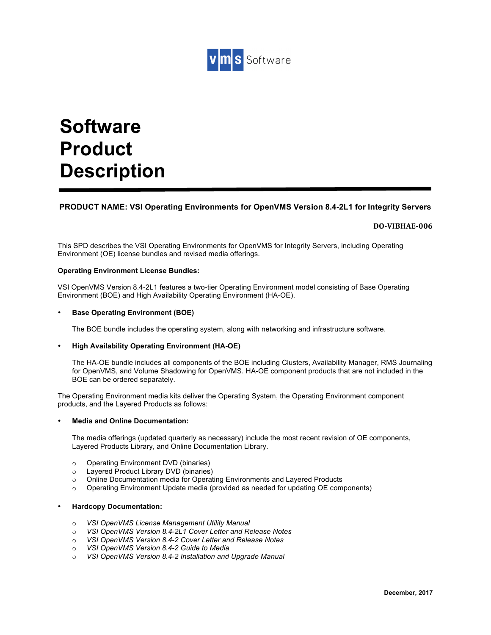

# **Software Product Description**

#### **PRODUCT NAME: VSI Operating Environments for OpenVMS Version 8.4-2L1 for Integrity Servers**

#### **DO-VIBHAE-006**

This SPD describes the VSI Operating Environments for OpenVMS for Integrity Servers, including Operating Environment (OE) license bundles and revised media offerings.

#### **Operating Environment License Bundles:**

VSI OpenVMS Version 8.4-2L1 features a two-tier Operating Environment model consisting of Base Operating Environment (BOE) and High Availability Operating Environment (HA-OE).

#### • **Base Operating Environment (BOE)**

The BOE bundle includes the operating system, along with networking and infrastructure software.

#### • **High Availability Operating Environment (HA-OE)**

The HA-OE bundle includes all components of the BOE including Clusters, Availability Manager, RMS Journaling for OpenVMS, and Volume Shadowing for OpenVMS. HA-OE component products that are not included in the BOE can be ordered separately.

The Operating Environment media kits deliver the Operating System, the Operating Environment component products, and the Layered Products as follows:

#### • **Media and Online Documentation:**

The media offerings (updated quarterly as necessary) include the most recent revision of OE components, Layered Products Library, and Online Documentation Library.

- o Operating Environment DVD (binaries)
- o Layered Product Library DVD (binaries)
- o Online Documentation media for Operating Environments and Layered Products
- $\circ$  Operating Environment Update media (provided as needed for updating OE components)

#### • **Hardcopy Documentation:**

- o *VSI OpenVMS License Management Utility Manual*
- o *VSI OpenVMS Version 8.4-2L1 Cover Letter and Release Notes*
- o *VSI OpenVMS Version 8.4-2 Cover Letter and Release Notes*
- o *VSI OpenVMS Version 8.4-2 Guide to Media*
- o *VSI OpenVMS Version 8.4-2 Installation and Upgrade Manual*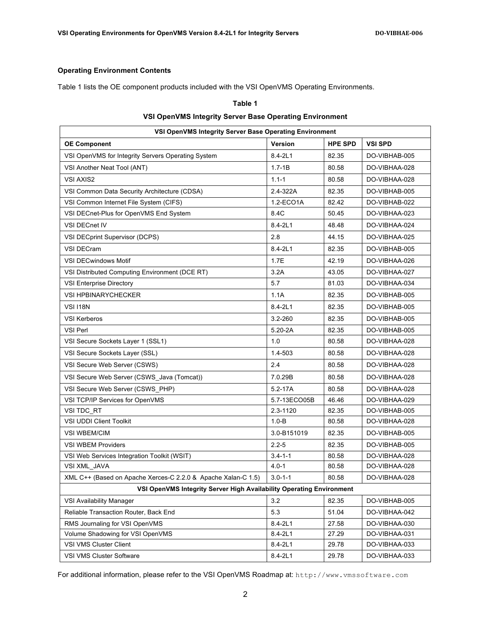#### **Operating Environment Contents**

Table 1 lists the OE component products included with the VSI OpenVMS Operating Environments.

# **Table 1 VSI OpenVMS Integrity Server Base Operating Environment**

| VSI OpenVMS Integrity Server Base Operating Environment              |                |                |                |  |
|----------------------------------------------------------------------|----------------|----------------|----------------|--|
| <b>OE Component</b>                                                  | <b>Version</b> | <b>HPE SPD</b> | <b>VSI SPD</b> |  |
| VSI OpenVMS for Integrity Servers Operating System                   | 8.4-2L1        | 82.35          | DO-VIBHAB-005  |  |
| VSI Another Neat Tool (ANT)                                          | $1.7 - 1B$     | 80.58          | DO-VIBHAA-028  |  |
| <b>VSI AXIS2</b>                                                     | $1.1 - 1$      | 80.58          | DO-VIBHAA-028  |  |
| VSI Common Data Security Architecture (CDSA)                         | 2.4-322A       | 82.35          | DO-VIBHAB-005  |  |
| VSI Common Internet File System (CIFS)                               | 1.2-ECO1A      | 82.42          | DO-VIBHAB-022  |  |
| VSI DECnet-Plus for OpenVMS End System                               | 8.4C           | 50.45          | DO-VIBHAA-023  |  |
| <b>VSI DECnet IV</b>                                                 | $8.4 - 2L1$    | 48.48          | DO-VIBHAA-024  |  |
| VSI DECprint Supervisor (DCPS)                                       | 2.8            | 44.15          | DO-VIBHAA-025  |  |
| <b>VSI DECram</b>                                                    | $8.4 - 2L1$    | 82.35          | DO-VIBHAB-005  |  |
| <b>VSI DECwindows Motif</b>                                          | 1.7E           | 42.19          | DO-VIBHAA-026  |  |
| VSI Distributed Computing Environment (DCE RT)                       | 3.2A           | 43.05          | DO-VIBHAA-027  |  |
| <b>VSI Enterprise Directory</b>                                      | 5.7            | 81.03          | DO-VIBHAA-034  |  |
| <b>VSI HPBINARYCHECKER</b>                                           | 1.1A           | 82.35          | DO-VIBHAB-005  |  |
| <b>VSI 118N</b>                                                      | $8.4 - 2L1$    | 82.35          | DO-VIBHAB-005  |  |
| <b>VSI Kerberos</b>                                                  | $3.2 - 260$    | 82.35          | DO-VIBHAB-005  |  |
| VSI Perl                                                             | $5.20 - 2A$    | 82.35          | DO-VIBHAB-005  |  |
| VSI Secure Sockets Layer 1 (SSL1)                                    | 1.0            | 80.58          | DO-VIBHAA-028  |  |
| VSI Secure Sockets Layer (SSL)                                       | 1.4-503        | 80.58          | DO-VIBHAA-028  |  |
| VSI Secure Web Server (CSWS)                                         | 2.4            | 80.58          | DO-VIBHAA-028  |  |
| VSI Secure Web Server (CSWS Java (Tomcat))                           | 7.0.29B        | 80.58          | DO-VIBHAA-028  |  |
| VSI Secure Web Server (CSWS PHP)                                     | $5.2 - 17A$    | 80.58          | DO-VIBHAA-028  |  |
| VSI TCP/IP Services for OpenVMS                                      | 5.7-13ECO05B   | 46.46          | DO-VIBHAA-029  |  |
| VSI TDC RT                                                           | 2.3-1120       | 82.35          | DO-VIBHAB-005  |  |
| VSI UDDI Client Toolkit                                              | $1.0 - B$      | 80.58          | DO-VIBHAA-028  |  |
| <b>VSI WBEM/CIM</b>                                                  | 3.0-B151019    | 82.35          | DO-VIBHAB-005  |  |
| <b>VSI WBEM Providers</b>                                            | $2.2 - 5$      | 82.35          | DO-VIBHAB-005  |  |
| VSI Web Services Integration Toolkit (WSIT)                          | $3.4 - 1 - 1$  | 80.58          | DO-VIBHAA-028  |  |
| VSI XML_JAVA                                                         | $4.0 - 1$      | 80.58          | DO-VIBHAA-028  |  |
| XML C++ (Based on Apache Xerces-C 2.2.0 & Apache Xalan-C 1.5)        | $3.0 - 1 - 1$  | 80.58          | DO-VIBHAA-028  |  |
| VSI OpenVMS Integrity Server High Availability Operating Environment |                |                |                |  |
| VSI Availability Manager                                             | 3.2            | 82.35          | DO-VIBHAB-005  |  |
| Reliable Transaction Router, Back End                                | 5.3            | 51.04          | DO-VIBHAA-042  |  |
| RMS Journaling for VSI OpenVMS                                       | 8.4-2L1        | 27.58          | DO-VIBHAA-030  |  |
| Volume Shadowing for VSI OpenVMS                                     | 8.4-2L1        | 27.29          | DO-VIBHAA-031  |  |
| VSI VMS Cluster Client                                               | $8.4 - 2L1$    | 29.78          | DO-VIBHAA-033  |  |
| VSI VMS Cluster Software                                             | 8.4-2L1        | 29.78          | DO-VIBHAA-033  |  |

For additional information, please refer to the VSI OpenVMS Roadmap at: http://www.vmssoftware.com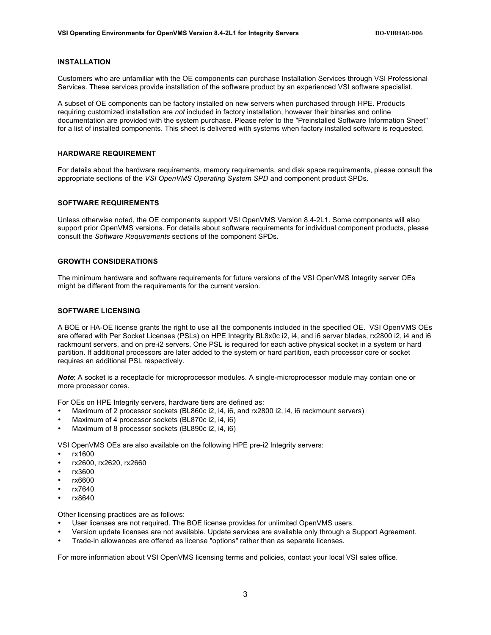#### **INSTALLATION**

Customers who are unfamiliar with the OE components can purchase Installation Services through VSI Professional Services. These services provide installation of the software product by an experienced VSI software specialist.

A subset of OE components can be factory installed on new servers when purchased through HPE. Products requiring customized installation are *not* included in factory installation, however their binaries and online documentation are provided with the system purchase. Please refer to the "Preinstalled Software Information Sheet" for a list of installed components. This sheet is delivered with systems when factory installed software is requested.

#### **HARDWARE REQUIREMENT**

For details about the hardware requirements, memory requirements, and disk space requirements, please consult the appropriate sections of the *VSI OpenVMS Operating System SPD* and component product SPDs.

#### **SOFTWARE REQUIREMENTS**

Unless otherwise noted, the OE components support VSI OpenVMS Version 8.4-2L1. Some components will also support prior OpenVMS versions. For details about software requirements for individual component products, please consult the *Software Requirements* sections of the component SPDs.

#### **GROWTH CONSIDERATIONS**

The minimum hardware and software requirements for future versions of the VSI OpenVMS Integrity server OEs might be different from the requirements for the current version.

#### **SOFTWARE LICENSING**

A BOE or HA-OE license grants the right to use all the components included in the specified OE. VSI OpenVMS OEs are offered with Per Socket Licenses (PSLs) on HPE Integrity BL8x0c i2, i4, and i6 server blades, rx2800 i2, i4 and i6 rackmount servers, and on pre-i2 servers. One PSL is required for each active physical socket in a system or hard partition. If additional processors are later added to the system or hard partition, each processor core or socket requires an additional PSL respectively.

*Note*: A socket is a receptacle for microprocessor modules. A single-microprocessor module may contain one or more processor cores.

For OEs on HPE Integrity servers, hardware tiers are defined as:

- Maximum of 2 processor sockets (BL860c i2, i4, i6, and rx2800 i2, i4, i6 rackmount servers)
- Maximum of 4 processor sockets (BL870c i2, i4, i6)
- Maximum of 8 processor sockets (BL890c i2, i4, i6)

VSI OpenVMS OEs are also available on the following HPE pre-i2 Integrity servers:

- rx1600
- rx2600, rx2620, rx2660
- rx3600
- rx6600
- rx7640
- rx8640

Other licensing practices are as follows:

- User licenses are not required. The BOE license provides for unlimited OpenVMS users.
- Version update licenses are not available. Update services are available only through a Support Agreement.
- Trade-in allowances are offered as license "options" rather than as separate licenses.

For more information about VSI OpenVMS licensing terms and policies, contact your local VSI sales office.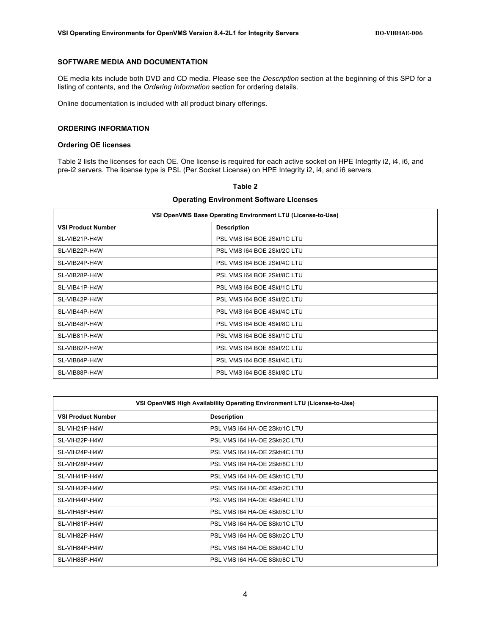#### **SOFTWARE MEDIA AND DOCUMENTATION**

OE media kits include both DVD and CD media. Please see the *Description* section at the beginning of this SPD for a listing of contents, and the *Ordering Information* section for ordering details.

Online documentation is included with all product binary offerings.

#### **ORDERING INFORMATION**

#### **Ordering OE licenses**

Table 2 lists the licenses for each OE. One license is required for each active socket on HPE Integrity i2, i4, i6, and pre-i2 servers. The license type is PSL (Per Socket License) on HPE Integrity i2, i4, and i6 servers

| VSI OpenVMS Base Operating Environment LTU (License-to-Use) |                             |  |
|-------------------------------------------------------------|-----------------------------|--|
| <b>VSI Product Number</b>                                   | <b>Description</b>          |  |
| SL-VIB21P-H4W                                               | PSL VMS 164 BOE 2Skt/1C LTU |  |
| SL-VIB22P-H4W                                               | PSL VMS 164 BOE 2Skt/2C LTU |  |
| SL-VIB24P-H4W                                               | PSL VMS 164 BOE 2Skt/4C LTU |  |
| SL-VIB28P-H4W                                               | PSL VMS 164 BOE 2Skt/8C LTU |  |
| SL-VIB41P-H4W                                               | PSL VMS 164 BOE 4Skt/1C LTU |  |
| SL-VIB42P-H4W                                               | PSL VMS 164 BOE 4Skt/2C LTU |  |
| SL-VIB44P-H4W                                               | PSL VMS 164 BOE 4Skt/4C LTU |  |
| SL-VIB48P-H4W                                               | PSL VMS 164 BOE 4Skt/8C LTU |  |
| SL-VIB81P-H4W                                               | PSL VMS 164 BOE 8Skt/1C LTU |  |
| SL-VIB82P-H4W                                               | PSL VMS 164 BOE 8Skt/2C LTU |  |
| SL-VIB84P-H4W                                               | PSL VMS 164 BOE 8Skt/4C LTU |  |
| SL-VIB88P-H4W                                               | PSL VMS 164 BOE 8Skt/8C LTU |  |

### **Table 2 Operating Environment Software Licenses**

| VSI OpenVMS High Availability Operating Environment LTU (License-to-Use) |                               |
|--------------------------------------------------------------------------|-------------------------------|
| <b>VSI Product Number</b>                                                | <b>Description</b>            |
| SL-VIH21P-H4W                                                            | PSL VMS 164 HA-OE 2Skt/1C LTU |
| SL-VIH22P-H4W                                                            | PSL VMS 164 HA-OE 2Skt/2C LTU |
| SL-VIH24P-H4W                                                            | PSL VMS 164 HA-OE 2Skt/4C LTU |
| SL-VIH28P-H4W                                                            | PSL VMS 164 HA-OE 2Skt/8C LTU |
| SL-VIH41P-H4W                                                            | PSL VMS 164 HA-OE 4Skt/1C LTU |
| SL-VIH42P-H4W                                                            | PSL VMS 164 HA-OE 4Skt/2C LTU |
| SL-VIH44P-H4W                                                            | PSL VMS 164 HA-OE 4Skt/4C LTU |
| SL-VIH48P-H4W                                                            | PSL VMS 164 HA-OE 4Skt/8C LTU |
| SL-VIH81P-H4W                                                            | PSL VMS 164 HA-OE 8Skt/1C LTU |
| SL-VIH82P-H4W                                                            | PSL VMS 164 HA-OE 8Skt/2C LTU |
| SL-VIH84P-H4W                                                            | PSL VMS 164 HA-OE 8Skt/4C LTU |
| SL-VIH88P-H4W                                                            | PSL VMS 164 HA-OE 8Skt/8C LTU |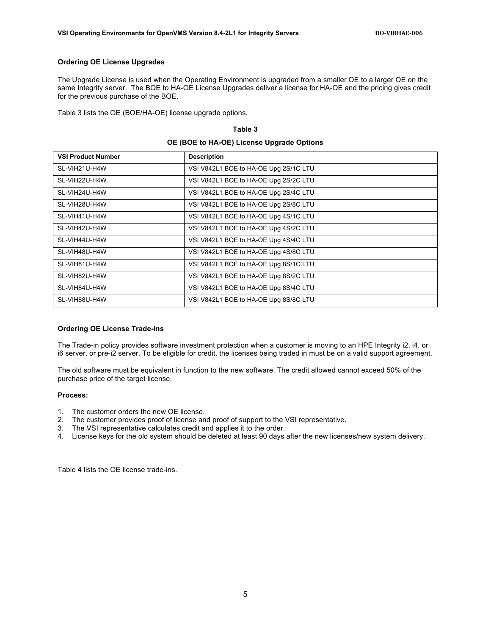#### **Ordering OE License Upgrades**

The Upgrade License is used when the Operating Environment is upgraded from a smaller OE to a larger OE on the same Integrity server. The BOE to HA-OE License Upgrades deliver a license for HA-OE and the pricing gives credit for the previous purchase of the BOE.

**Table 3**

Table 3 lists the OE (BOE/HA-OE) license upgrade options.

## **OE (BOE to HA-OE) License Upgrade Options VSI Product Number Constrainer Constrainer** Description SL-VIH21U-H4W <br>VSI V842L1 BOE to HA-OE Upg 2S/1C LTU SL-VIH22U-H4W VSI V842L1 BOE to HA-OE Upg 2S/2C LTU SL-VIH24U-H4W <br>VSI V842L1 BOE to HA-OE Upg 2S/4C LTU SL-VIH28U-H4W <br>VSI V842L1 BOE to HA-OE Upg 2S/8C LTU SL-VIH41U-H4W <br>VSI V842L1 BOE to HA-OE Upg 4S/1C LTU SL-VIH42U-H4W VSI V842L1 BOE to HA-OE Upg 4S/2C LTU SL-VIH44U-H4W <br>VSI V842L1 BOE to HA-OE Upg 4S/4C LTU SL-VIH48U-H4W <br>VSI V842L1 BOE to HA-OE Upg 4S/8C LTU SL-VIH81U-H4W <br>VSI V842L1 BOE to HA-OE Upg 8S/1C LTU SL-VIH82U-H4W | VSI V842L1 BOE to HA-OE Upg 8S/2C LTU SL-VIH84U-H4W <br>VSI V842L1 BOE to HA-OE Upg 8S/4C LTU SL-VIH88U-H4W <br>VSI V842L1 BOE to HA-OE Upg 8S/8C LTU

#### **Ordering OE License Trade-ins**

The Trade-in policy provides software investment protection when a customer is moving to an HPE Integrity i2, i4, or i6 server, or pre-i2 server. To be eligible for credit, the licenses being traded in must be on a valid support agreement.

The old software must be equivalent in function to the new software. The credit allowed cannot exceed 50% of the purchase price of the target license.

#### **Process:**

- 1. The customer orders the new OE license.
- 2. The customer provides proof of license and proof of support to the VSI representative.
- 3. The VSI representative calculates credit and applies it to the order.
- 4. License keys for the old system should be deleted at least 90 days after the new licenses/new system delivery.

Table 4 lists the OE license trade-ins.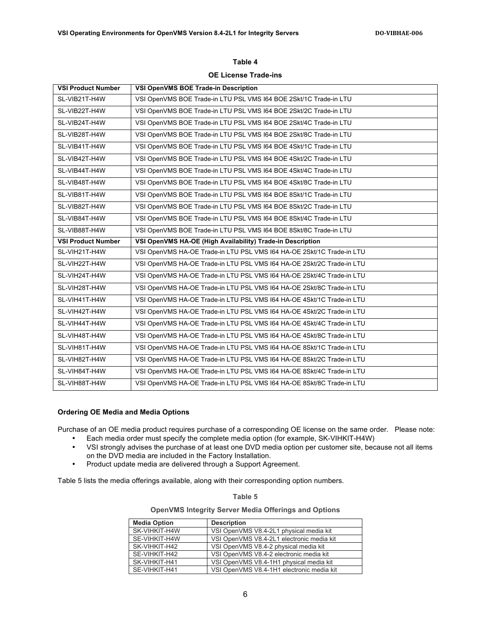| <b>OE License Trade-ins</b> |                                                                       |  |
|-----------------------------|-----------------------------------------------------------------------|--|
| <b>VSI Product Number</b>   | VSI OpenVMS BOE Trade-in Description                                  |  |
| SL-VIB21T-H4W               | VSI OpenVMS BOE Trade-in LTU PSL VMS 164 BOE 2Skt/1C Trade-in LTU     |  |
| SL-VIB22T-H4W               | VSI OpenVMS BOE Trade-in LTU PSL VMS 164 BOE 2Skt/2C Trade-in LTU     |  |
| SL-VIB24T-H4W               | VSI OpenVMS BOE Trade-in LTU PSL VMS 164 BOE 2Skt/4C Trade-in LTU     |  |
| SL-VIB28T-H4W               | VSI OpenVMS BOE Trade-in LTU PSL VMS 164 BOE 2Skt/8C Trade-in LTU     |  |
| SL-VIB41T-H4W               | VSI OpenVMS BOE Trade-in LTU PSL VMS 164 BOE 4Skt/1C Trade-in LTU     |  |
| SL-VIB42T-H4W               | VSI OpenVMS BOE Trade-in LTU PSL VMS 164 BOE 4Skt/2C Trade-in LTU     |  |
| SL-VIB44T-H4W               | VSI OpenVMS BOE Trade-in LTU PSL VMS 164 BOE 4Skt/4C Trade-in LTU     |  |
| SL-VIB48T-H4W               | VSI OpenVMS BOE Trade-in LTU PSL VMS 164 BOE 4Skt/8C Trade-in LTU     |  |
| SL-VIB81T-H4W               | VSI OpenVMS BOE Trade-in LTU PSL VMS 164 BOE 8Skt/1C Trade-in LTU     |  |
| SL-VIB82T-H4W               | VSI OpenVMS BOE Trade-in LTU PSL VMS 164 BOE 8Skt/2C Trade-in LTU     |  |
| SL-VIB84T-H4W               | VSI OpenVMS BOE Trade-in LTU PSL VMS 164 BOE 8Skt/4C Trade-in LTU     |  |
| SL-VIB88T-H4W               | VSI OpenVMS BOE Trade-in LTU PSL VMS 164 BOE 8Skt/8C Trade-in LTU     |  |
| <b>VSI Product Number</b>   | VSI OpenVMS HA-OE (High Availability) Trade-in Description            |  |
| SL-VIH21T-H4W               | VSI OpenVMS HA-OE Trade-in LTU PSL VMS I64 HA-OE 2Skt/1C Trade-in LTU |  |
| SL-VIH22T-H4W               | VSI OpenVMS HA-OE Trade-in LTU PSL VMS I64 HA-OE 2Skt/2C Trade-in LTU |  |
| SL-VIH24T-H4W               | VSI OpenVMS HA-OE Trade-in LTU PSL VMS I64 HA-OE 2Skt/4C Trade-in LTU |  |
| SL-VIH28T-H4W               | VSI OpenVMS HA-OE Trade-in LTU PSL VMS 164 HA-OE 2Skt/8C Trade-in LTU |  |
| SL-VIH41T-H4W               | VSI OpenVMS HA-OE Trade-in LTU PSL VMS I64 HA-OE 4Skt/1C Trade-in LTU |  |
| SL-VIH42T-H4W               | VSI OpenVMS HA-OE Trade-in LTU PSL VMS I64 HA-OE 4Skt/2C Trade-in LTU |  |
| SL-VIH44T-H4W               | VSI OpenVMS HA-OE Trade-in LTU PSL VMS I64 HA-OE 4Skt/4C Trade-in LTU |  |
| SL-VIH48T-H4W               | VSI OpenVMS HA-OE Trade-in LTU PSL VMS I64 HA-OE 4Skt/8C Trade-in LTU |  |
| SL-VIH81T-H4W               | VSI OpenVMS HA-OE Trade-in LTU PSL VMS I64 HA-OE 8Skt/1C Trade-in LTU |  |
| SL-VIH82T-H4W               | VSI OpenVMS HA-OE Trade-in LTU PSL VMS I64 HA-OE 8Skt/2C Trade-in LTU |  |
| SL-VIH84T-H4W               | VSI OpenVMS HA-OE Trade-in LTU PSL VMS I64 HA-OE 8Skt/4C Trade-in LTU |  |
| SL-VIH88T-H4W               | VSI OpenVMS HA-OE Trade-in LTU PSL VMS 164 HA-OE 8Skt/8C Trade-in LTU |  |

# **Table 4**

#### **Ordering OE Media and Media Options**

Purchase of an OE media product requires purchase of a corresponding OE license on the same order. Please note:

- Each media order must specify the complete media option (for example, SK-VIHKIT-H4W)
- VSI strongly advises the purchase of at least one DVD media option per customer site, because not all items on the DVD media are included in the Factory Installation.
- Product update media are delivered through a Support Agreement.

Table 5 lists the media offerings available, along with their corresponding option numbers.

**Table 5**

**OpenVMS Integrity Server Media Offerings and Options**

| <b>Media Option</b> | <b>Description</b>                        |
|---------------------|-------------------------------------------|
| SK-VIHKIT-H4W       | VSI OpenVMS V8.4-2L1 physical media kit   |
| SE-VIHKIT-H4W       | VSI OpenVMS V8.4-2L1 electronic media kit |
| SK-VIHKIT-H42       | VSI OpenVMS V8.4-2 physical media kit     |
| SE-VIHKIT-H42       | VSI OpenVMS V8.4-2 electronic media kit   |
| SK-VIHKIT-H41       | VSI OpenVMS V8.4-1H1 physical media kit   |
| SE-VIHKIT-H41       | VSI OpenVMS V8.4-1H1 electronic media kit |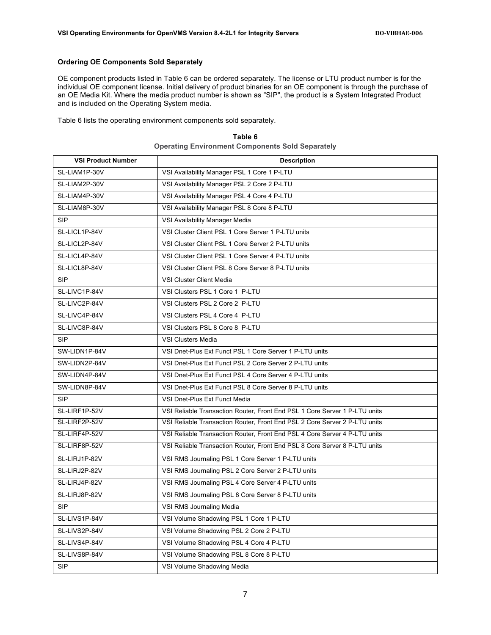#### **Ordering OE Components Sold Separately**

OE component products listed in Table 6 can be ordered separately. The license or LTU product number is for the individual OE component license. Initial delivery of product binaries for an OE component is through the purchase of an OE Media Kit. Where the media product number is shown as "SIP", the product is a System Integrated Product and is included on the Operating System media.

Table 6 lists the operating environment components sold separately.

| <b>VSI Product Number</b> | <b>Description</b>                                                         |
|---------------------------|----------------------------------------------------------------------------|
| SL-LIAM1P-30V             | VSI Availability Manager PSL 1 Core 1 P-LTU                                |
| SL-LIAM2P-30V             | VSI Availability Manager PSL 2 Core 2 P-LTU                                |
| SL-LIAM4P-30V             | VSI Availability Manager PSL 4 Core 4 P-LTU                                |
| SL-LIAM8P-30V             | VSI Availability Manager PSL 8 Core 8 P-LTU                                |
| <b>SIP</b>                | VSI Availability Manager Media                                             |
| SL-LICL1P-84V             | VSI Cluster Client PSL 1 Core Server 1 P-LTU units                         |
| SL-LICL2P-84V             | VSI Cluster Client PSL 1 Core Server 2 P-LTU units                         |
| SL-LICL4P-84V             | VSI Cluster Client PSL 1 Core Server 4 P-LTU units                         |
| SL-LICL8P-84V             | VSI Cluster Client PSL 8 Core Server 8 P-LTU units                         |
| <b>SIP</b>                | VSI Cluster Client Media                                                   |
| SL-LIVC1P-84V             | VSI Clusters PSL 1 Core 1 P-LTU                                            |
| SL-LIVC2P-84V             | VSI Clusters PSL 2 Core 2 P-LTU                                            |
| SL-LIVC4P-84V             | VSI Clusters PSL 4 Core 4 P-LTU                                            |
| SL-LIVC8P-84V             | VSI Clusters PSL 8 Core 8 P-LTU                                            |
| <b>SIP</b>                | <b>VSI Clusters Media</b>                                                  |
| SW-LIDN1P-84V             | VSI Dnet-Plus Ext Funct PSL 1 Core Server 1 P-LTU units                    |
| SW-LIDN2P-84V             | VSI Dnet-Plus Ext Funct PSL 2 Core Server 2 P-LTU units                    |
| SW-LIDN4P-84V             | VSI Dnet-Plus Ext Funct PSL 4 Core Server 4 P-LTU units                    |
| SW-LIDN8P-84V             | VSI Dnet-Plus Ext Funct PSL 8 Core Server 8 P-LTU units                    |
| <b>SIP</b>                | VSI Dnet-Plus Ext Funct Media                                              |
| SL-LIRF1P-52V             | VSI Reliable Transaction Router, Front End PSL 1 Core Server 1 P-LTU units |
| SL-LIRF2P-52V             | VSI Reliable Transaction Router, Front End PSL 2 Core Server 2 P-LTU units |
| SL-LIRF4P-52V             | VSI Reliable Transaction Router, Front End PSL 4 Core Server 4 P-LTU units |
| SL-LIRF8P-52V             | VSI Reliable Transaction Router, Front End PSL 8 Core Server 8 P-LTU units |
| SL-LIRJ1P-82V             | VSI RMS Journaling PSL 1 Core Server 1 P-LTU units                         |
| SL-LIRJ2P-82V             | VSI RMS Journaling PSL 2 Core Server 2 P-LTU units                         |
| SL-LIRJ4P-82V             | VSI RMS Journaling PSL 4 Core Server 4 P-LTU units                         |
| SL-LIRJ8P-82V             | VSI RMS Journaling PSL 8 Core Server 8 P-LTU units                         |
| <b>SIP</b>                | VSI RMS Journaling Media                                                   |
| SL-LIVS1P-84V             | VSI Volume Shadowing PSL 1 Core 1 P-LTU                                    |
| SL-LIVS2P-84V             | VSI Volume Shadowing PSL 2 Core 2 P-LTU                                    |
| SL-LIVS4P-84V             | VSI Volume Shadowing PSL 4 Core 4 P-LTU                                    |
| SL-LIVS8P-84V             | VSI Volume Shadowing PSL 8 Core 8 P-LTU                                    |
| <b>SIP</b>                | VSI Volume Shadowing Media                                                 |

**Table 6 Operating Environment Components Sold Separately**